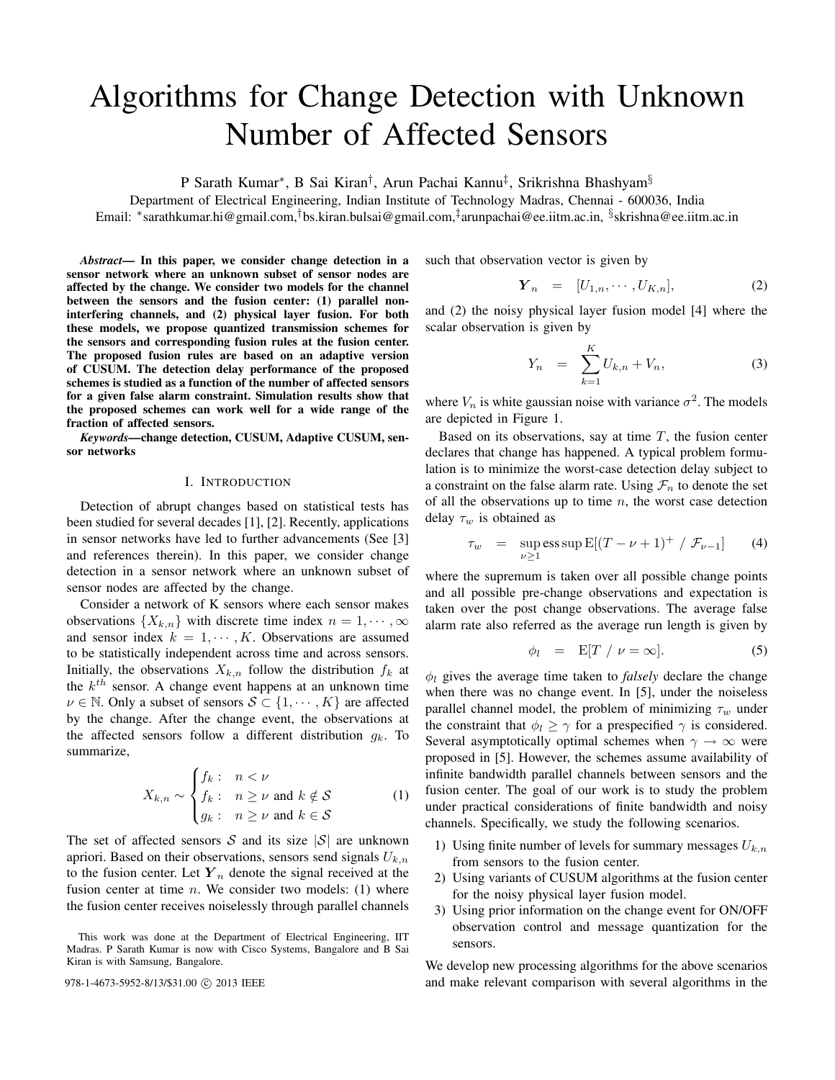# Algorithms for Change Detection with Unknown Number of Affected Sensors

P Sarath Kumar\*, B Sai Kiran<sup>†</sup>, Arun Pachai Kannu<sup>‡</sup>, Srikrishna Bhashyam<sup>§</sup>

Department of Electrical Engineering, Indian Institute of Technology Madras, Chennai - 600036, India Email: \*sarathkumar.hi@gmail.com,<sup>†</sup>bs.kiran.bulsai@gmail.com,<sup>‡</sup>arunpachai@ee.iitm.ac.in, <sup>§</sup>skrishna@ee.iitm.ac.in

*Abstract*— In this paper, we consider change detection in a sensor network where an unknown subset of sensor nodes are affected by the change. We consider two models for the channel between the sensors and the fusion center: (1) parallel noninterfering channels, and (2) physical layer fusion. For both these models, we propose quantized transmission schemes for the sensors and corresponding fusion rules at the fusion center. The proposed fusion rules are based on an adaptive version of CUSUM. The detection delay performance of the proposed schemes is studied as a function of the number of affected sensors for a given false alarm constraint. Simulation results show that the proposed schemes can work well for a wide range of the fraction of affected sensors.

*Keywords—*change detection, CUSUM, Adaptive CUSUM, sensor networks

#### I. INTRODUCTION

Detection of abrupt changes based on statistical tests has been studied for several decades [1], [2]. Recently, applications in sensor networks have led to further advancements (See [3] and references therein). In this paper, we consider change detection in a sensor network where an unknown subset of sensor nodes are affected by the change.

Consider a network of K sensors where each sensor makes observations  $\{X_{k,n}\}\$  with discrete time index  $n = 1, \dots, \infty$ and sensor index  $k = 1, \dots, K$ . Observations are assumed to be statistically independent across time and across sensors. Initially, the observations  $X_{k,n}$  follow the distribution  $f_k$  at the  $k^{th}$  sensor. A change event happens at an unknown time  $\nu \in \mathbb{N}$ . Only a subset of sensors  $S \subset \{1, \cdots, K\}$  are affected by the change. After the change event, the observations at the affected sensors follow a different distribution  $g_k$ . To summarize,

$$
X_{k,n} \sim \begin{cases} f_k: & n < \nu \\ f_k: & n \ge \nu \text{ and } k \notin \mathcal{S} \\ g_k: & n \ge \nu \text{ and } k \in \mathcal{S} \end{cases}
$$
 (1)

The set of affected sensors  $S$  and its size  $|S|$  are unknown apriori. Based on their observations, sensors send signals  $U_{k,n}$ to the fusion center. Let  $Y_n$  denote the signal received at the fusion center at time  $n$ . We consider two models: (1) where the fusion center receives noiselessly through parallel channels such that observation vector is given by

$$
\boldsymbol{Y}_n = [U_{1,n}, \cdots, U_{K,n}], \tag{2}
$$

and (2) the noisy physical layer fusion model [4] where the scalar observation is given by

$$
Y_n = \sum_{k=1}^{K} U_{k,n} + V_n, \tag{3}
$$

where  $V_n$  is white gaussian noise with variance  $\sigma^2$ . The models are depicted in Figure 1.

Based on its observations, say at time  $T$ , the fusion center declares that change has happened. A typical problem formulation is to minimize the worst-case detection delay subject to a constraint on the false alarm rate. Using  $\mathcal{F}_n$  to denote the set of all the observations up to time  $n$ , the worst case detection delay  $\tau_w$  is obtained as

$$
\tau_w = \sup_{\nu \ge 1} \text{ess sup } E[(T - \nu + 1)^+ / \mathcal{F}_{\nu - 1}] \tag{4}
$$

where the supremum is taken over all possible change points and all possible pre-change observations and expectation is taken over the post change observations. The average false alarm rate also referred as the average run length is given by

$$
\phi_l = \mathbf{E}[T / \nu = \infty]. \tag{5}
$$

 $\phi_l$  gives the average time taken to *falsely* declare the change when there was no change event. In [5], under the noiseless parallel channel model, the problem of minimizing  $\tau_w$  under the constraint that  $\phi_l \geq \gamma$  for a prespecified  $\gamma$  is considered. Several asymptotically optimal schemes when  $\gamma \to \infty$  were proposed in [5]. However, the schemes assume availability of infinite bandwidth parallel channels between sensors and the fusion center. The goal of our work is to study the problem under practical considerations of finite bandwidth and noisy channels. Specifically, we study the following scenarios.

- 1) Using finite number of levels for summary messages  $U_{k,n}$ from sensors to the fusion center.
- 2) Using variants of CUSUM algorithms at the fusion center for the noisy physical layer fusion model.
- 3) Using prior information on the change event for ON/OFF observation control and message quantization for the sensors.

We develop new processing algorithms for the above scenarios 978-1-4673-5952-8/13/\$31.00  $\odot$  2013 IEEE and make relevant comparison with several algorithms in the

This work was done at the Department of Electrical Engineering, IIT Madras. P Sarath Kumar is now with Cisco Systems, Bangalore and B Sai Kiran is with Samsung, Bangalore.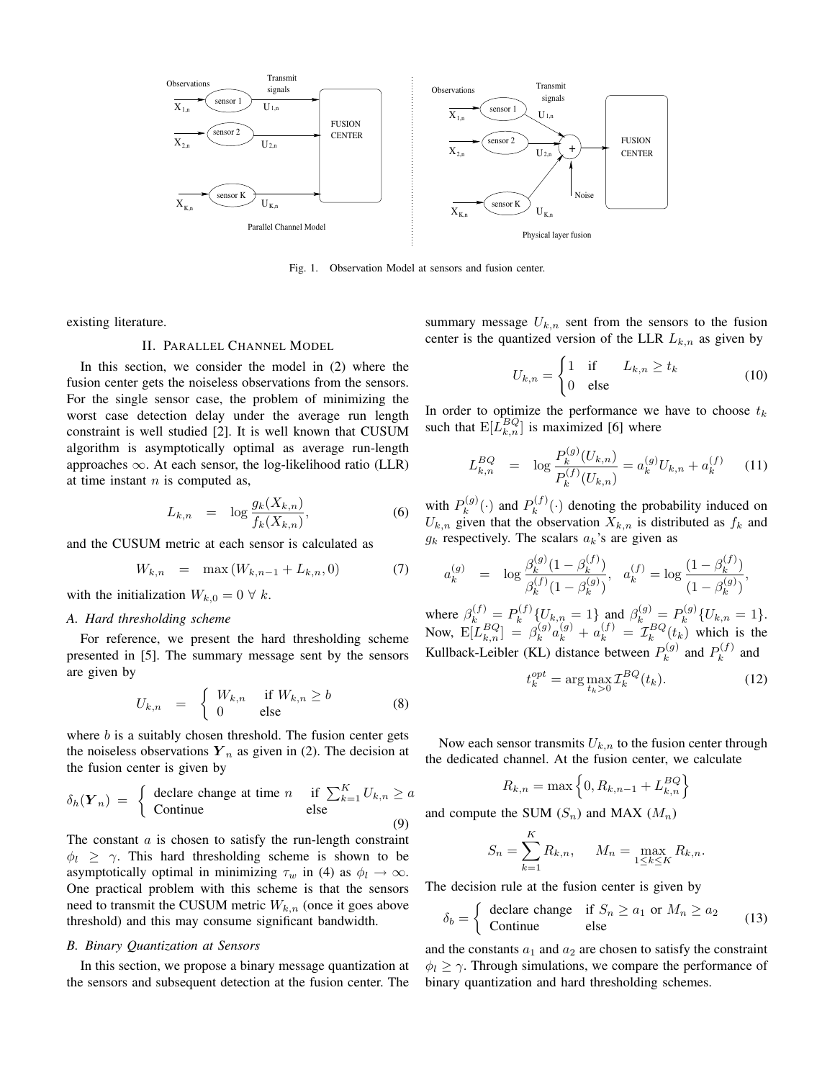

Fig. 1. Observation Model at sensors and fusion center.

existing literature.

# II. PARALLEL CHANNEL MODEL

In this section, we consider the model in (2) where the fusion center gets the noiseless observations from the sensors. For the single sensor case, the problem of minimizing the worst case detection delay under the average run length constraint is well studied [2]. It is well known that CUSUM algorithm is asymptotically optimal as average run-length approaches  $\infty$ . At each sensor, the log-likelihood ratio (LLR) at time instant  $n$  is computed as,

$$
L_{k,n} = \log \frac{g_k(X_{k,n})}{f_k(X_{k,n})},\tag{6}
$$

and the CUSUM metric at each sensor is calculated as

$$
W_{k,n} = \max(W_{k,n-1} + L_{k,n}, 0) \tag{7}
$$

with the initialization  $W_{k,0} = 0 \ \forall \ k$ .

#### *A. Hard thresholding scheme*

For reference, we present the hard thresholding scheme presented in [5]. The summary message sent by the sensors are given by

$$
U_{k,n} = \begin{cases} W_{k,n} & \text{if } W_{k,n} \ge b \\ 0 & \text{else} \end{cases}
$$
 (8)

where  $b$  is a suitably chosen threshold. The fusion center gets the noiseless observations  $Y_n$  as given in (2). The decision at the fusion center is given by

$$
\delta_h(\mathbf{Y}_n) = \begin{cases} \text{ declare change at time } n & \text{if } \sum_{k=1}^K U_{k,n} \ge a \\ \text{Continue} & \text{else} \end{cases}
$$
 (9)

The constant  $a$  is chosen to satisfy the run-length constraint  $\phi_l \geq \gamma$ . This hard thresholding scheme is shown to be asymptotically optimal in minimizing  $\tau_w$  in (4) as  $\phi_l \to \infty$ . One practical problem with this scheme is that the sensors need to transmit the CUSUM metric  $W_{k,n}$  (once it goes above threshold) and this may consume significant bandwidth.

## *B. Binary Quantization at Sensors*

In this section, we propose a binary message quantization at the sensors and subsequent detection at the fusion center. The summary message  $U_{k,n}$  sent from the sensors to the fusion center is the quantized version of the LLR  $L_{k,n}$  as given by

$$
U_{k,n} = \begin{cases} 1 & \text{if } L_{k,n} \ge t_k \\ 0 & \text{else} \end{cases}
$$
 (10)

In order to optimize the performance we have to choose  $t_k$ such that  $E[\tilde{L}_{k,n}^{BQ}]$  is maximized [6] where

$$
L_{k,n}^{BQ} = \log \frac{P_k^{(g)}(U_{k,n})}{P_k^{(f)}(U_{k,n})} = a_k^{(g)} U_{k,n} + a_k^{(f)} \qquad (11)
$$

with  $P_k^{(g)}$  $P_k^{(g)}(\cdot)$  and  $P_k^{(f)}$  $k_k^{(J)}(\cdot)$  denoting the probability induced on  $U_{k,n}$  given that the observation  $X_{k,n}$  is distributed as  $f_k$  and  $g_k$  respectively. The scalars  $a_k$ 's are given as

$$
a_k^{(g)} = \log \frac{\beta_k^{(g)}(1 - \beta_k^{(f)})}{\beta_k^{(f)}(1 - \beta_k^{(g)})}, \quad a_k^{(f)} = \log \frac{(1 - \beta_k^{(f)})}{(1 - \beta_k^{(g)})},
$$

where  $\beta_k^{(f)} = P_k^{(f)}$  $b_k^{(f)}\{U_{k,n} = 1\}$  and  $\beta_k^{(g)} = P_k^{(g)}$  $b_k^{(g)}\{U_{k,n}=1\}.$ Now,  $\mathbb{E}[L_{k,n}^{BQ}] = \beta_k^{(g)}$  $a_k^{(g)}a_k^{(g)} + a_k^{(f)} = \mathcal{I}_k^{BQ}(t_k)$  which is the Kullback-Leibler (KL) distance between  $P_k^{(g)}$  $P_k^{(g)}$  and  $P_k^{(f)}$  $\kappa^{(J)}$  and

$$
t_k^{opt} = \arg\max_{t_k > 0} \mathcal{I}_k^{BQ}(t_k). \tag{12}
$$

Now each sensor transmits  $U_{k,n}$  to the fusion center through the dedicated channel. At the fusion center, we calculate

$$
R_{k,n} = \max\left\{0, R_{k,n-1} + L_{k,n}^{BQ}\right\}
$$

and compute the SUM  $(S_n)$  and MAX  $(M_n)$ 

$$
S_n = \sum_{k=1}^{K} R_{k,n}, \quad M_n = \max_{1 \le k \le K} R_{k,n}.
$$

The decision rule at the fusion center is given by

$$
\delta_b = \begin{cases} \text{ declare change} & \text{if } S_n \ge a_1 \text{ or } M_n \ge a_2 \\ \text{Continue} & \text{else} \end{cases} \tag{13}
$$

and the constants  $a_1$  and  $a_2$  are chosen to satisfy the constraint  $\phi_l \geq \gamma$ . Through simulations, we compare the performance of binary quantization and hard thresholding schemes.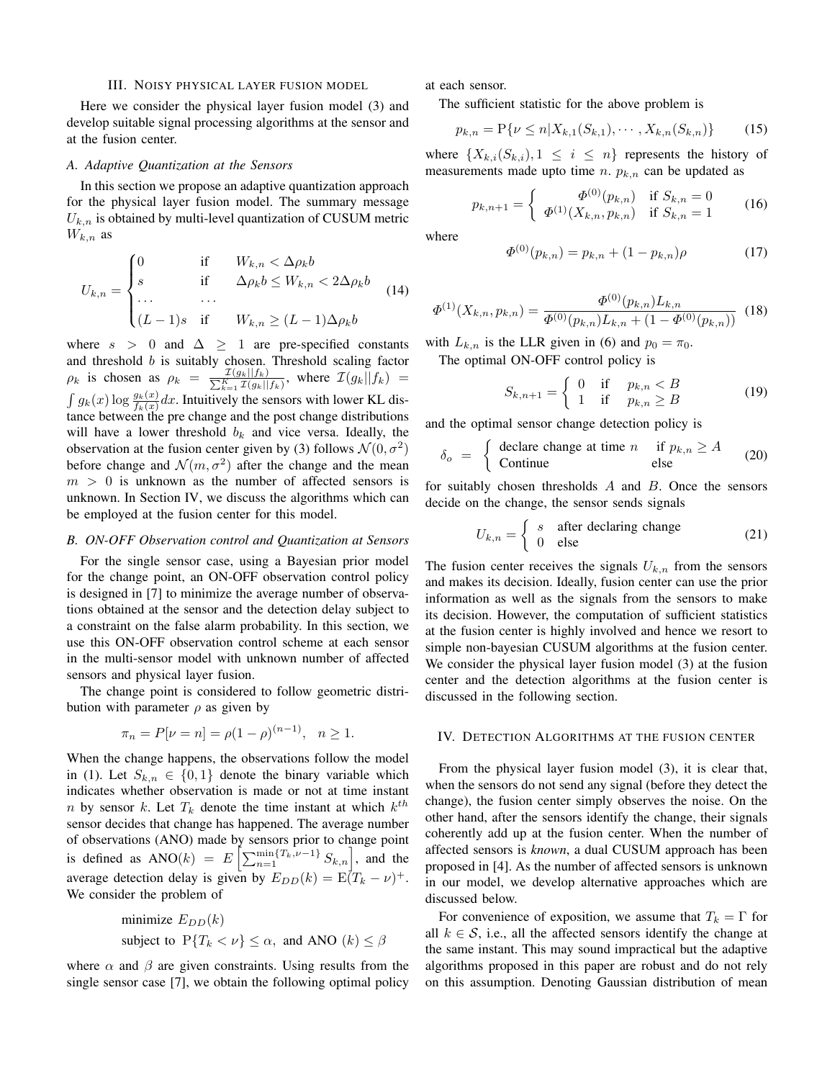#### III. NOISY PHYSICAL LAYER FUSION MODEL

Here we consider the physical layer fusion model (3) and develop suitable signal processing algorithms at the sensor and at the fusion center.

## *A. Adaptive Quantization at the Sensors*

In this section we propose an adaptive quantization approach for the physical layer fusion model. The summary message  $U_{k,n}$  is obtained by multi-level quantization of CUSUM metric  $W_{k,n}$  as

$$
U_{k,n} = \begin{cases} 0 & \text{if } W_{k,n} < \Delta \rho_k b \\ s & \text{if } \Delta \rho_k b \le W_{k,n} < 2\Delta \rho_k b \\ \dots & \dots \\ (L-1)s & \text{if } W_{k,n} \ge (L-1)\Delta \rho_k b \end{cases}
$$
(14)

where  $s > 0$  and  $\Delta \geq 1$  are pre-specified constants and threshold  $b$  is suitably chosen. Threshold scaling factor  $\rho_k$  is chosen as  $\rho_k = \frac{\mathcal{I}(g_k||f_k)}{\sum_{k=1}^K \mathcal{I}(g_k||f_k)},$  where  $\mathcal{I}(g_k||f_k)$  $\int g_k(x) \log \frac{g_k(x)}{f_k(x)} dx$ . Intuitively the sensors with lower KL distance between the pre change and the post change distributions will have a lower threshold  $b_k$  and vice versa. Ideally, the observation at the fusion center given by (3) follows  $\mathcal{N}(0, \sigma^2)$ before change and  $\mathcal{N}(m, \sigma^2)$  after the change and the mean  $m > 0$  is unknown as the number of affected sensors is unknown. In Section IV, we discuss the algorithms which can be employed at the fusion center for this model.

## *B. ON-OFF Observation control and Quantization at Sensors*

For the single sensor case, using a Bayesian prior model for the change point, an ON-OFF observation control policy is designed in [7] to minimize the average number of observations obtained at the sensor and the detection delay subject to a constraint on the false alarm probability. In this section, we use this ON-OFF observation control scheme at each sensor in the multi-sensor model with unknown number of affected sensors and physical layer fusion.

The change point is considered to follow geometric distribution with parameter  $\rho$  as given by

$$
\pi_n = P[\nu = n] = \rho(1 - \rho)^{(n-1)}, \quad n \ge 1.
$$

When the change happens, the observations follow the model in (1). Let  $S_{k,n} \in \{0,1\}$  denote the binary variable which indicates whether observation is made or not at time instant *n* by sensor *k*. Let  $T_k$  denote the time instant at which  $k^{th}$ sensor decides that change has happened. The average number of observations (ANO) made by sensors prior to change point is defined as ANO(k) =  $E\left[\sum_{n=1}^{\min\{T_k, \nu-1\}} S_{k,n}\right]$ , and the average detection delay is given by  $E_{DD}(k) = \mathbb{E}(T_k - \nu)^+$ . We consider the problem of

minimize 
$$
E_{DD}(k)
$$
  
subject to  $P{T_k < \nu} \leq \alpha$ , and ANO  $(k) \leq \beta$ 

where  $\alpha$  and  $\beta$  are given constraints. Using results from the single sensor case [7], we obtain the following optimal policy at each sensor.

The sufficient statistic for the above problem is

$$
p_{k,n} = P\{\nu \le n | X_{k,1}(S_{k,1}), \cdots, X_{k,n}(S_{k,n})\}
$$
 (15)

where  $\{X_{k,i}(S_{k,i}), 1 \leq i \leq n\}$  represents the history of measurements made upto time  $n$ .  $p_{k,n}$  can be updated as

$$
p_{k,n+1} = \begin{cases} \Phi^{(0)}(p_{k,n}) & \text{if } S_{k,n} = 0\\ \Phi^{(1)}(X_{k,n}, p_{k,n}) & \text{if } S_{k,n} = 1 \end{cases}
$$
 (16)

where

$$
\Phi^{(0)}(p_{k,n}) = p_{k,n} + (1 - p_{k,n})\rho \tag{17}
$$

$$
\Phi^{(1)}(X_{k,n}, p_{k,n}) = \frac{\Phi^{(0)}(p_{k,n}) L_{k,n}}{\Phi^{(0)}(p_{k,n}) L_{k,n} + (1 - \Phi^{(0)}(p_{k,n}))} \tag{18}
$$

with  $L_{k,n}$  is the LLR given in (6) and  $p_0 = \pi_0$ . The optimal ON-OFF control policy is

$$
S_{k,n+1} = \begin{cases} 0 & \text{if } p_{k,n} < B \\ 1 & \text{if } p_{k,n} \ge B \end{cases} \tag{19}
$$

and the optimal sensor change detection policy is

$$
\delta_o = \begin{cases} \text{ declare change at time } n & \text{if } p_{k,n} \ge A \\ \text{Continue} & \text{else} \end{cases} \tag{20}
$$

for suitably chosen thresholds  $A$  and  $B$ . Once the sensors decide on the change, the sensor sends signals

$$
U_{k,n} = \begin{cases} s & \text{after declaring change} \\ 0 & \text{else} \end{cases}
$$
 (21)

The fusion center receives the signals  $U_{k,n}$  from the sensors and makes its decision. Ideally, fusion center can use the prior information as well as the signals from the sensors to make its decision. However, the computation of sufficient statistics at the fusion center is highly involved and hence we resort to simple non-bayesian CUSUM algorithms at the fusion center. We consider the physical layer fusion model (3) at the fusion center and the detection algorithms at the fusion center is discussed in the following section.

#### IV. DETECTION ALGORITHMS AT THE FUSION CENTER

From the physical layer fusion model (3), it is clear that, when the sensors do not send any signal (before they detect the change), the fusion center simply observes the noise. On the other hand, after the sensors identify the change, their signals coherently add up at the fusion center. When the number of affected sensors is *known*, a dual CUSUM approach has been proposed in [4]. As the number of affected sensors is unknown in our model, we develop alternative approaches which are discussed below.

For convenience of exposition, we assume that  $T_k = \Gamma$  for all  $k \in S$ , i.e., all the affected sensors identify the change at the same instant. This may sound impractical but the adaptive algorithms proposed in this paper are robust and do not rely on this assumption. Denoting Gaussian distribution of mean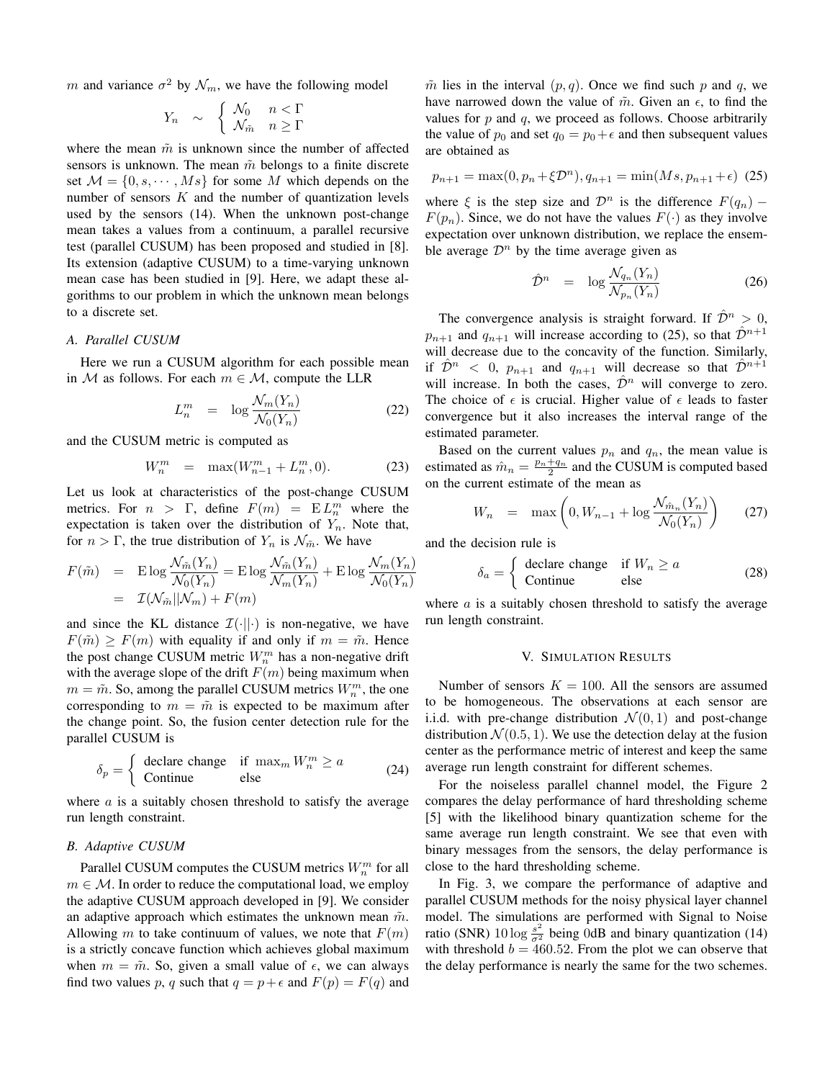m and variance  $\sigma^2$  by  $\mathcal{N}_m$ , we have the following model

$$
Y_n \sim \begin{cases} \mathcal{N}_0 & n < \Gamma \\ \mathcal{N}_{\tilde{m}} & n \ge \Gamma \end{cases}
$$

where the mean  $\tilde{m}$  is unknown since the number of affected sensors is unknown. The mean  $\tilde{m}$  belongs to a finite discrete set  $\mathcal{M} = \{0, s, \dots, Ms\}$  for some M which depends on the number of sensors  $K$  and the number of quantization levels used by the sensors (14). When the unknown post-change mean takes a values from a continuum, a parallel recursive test (parallel CUSUM) has been proposed and studied in [8]. Its extension (adaptive CUSUM) to a time-varying unknown mean case has been studied in [9]. Here, we adapt these algorithms to our problem in which the unknown mean belongs to a discrete set.

## *A. Parallel CUSUM*

Here we run a CUSUM algorithm for each possible mean in M as follows. For each  $m \in \mathcal{M}$ , compute the LLR

$$
L_n^m = \log \frac{\mathcal{N}_m(Y_n)}{\mathcal{N}_0(Y_n)} \tag{22}
$$

and the CUSUM metric is computed as

$$
W_n^m = \max(W_{n-1}^m + L_n^m, 0). \tag{23}
$$

Let us look at characteristics of the post-change CUSUM metrics. For  $n > \Gamma$ , define  $F(m) = EL_m^m$  where the expectation is taken over the distribution of  $Y_n$ . Note that, for  $n > \Gamma$ , the true distribution of  $Y_n$  is  $\mathcal{N}_{\tilde{m}}$ . We have

$$
F(\tilde{m}) = \text{E} \log \frac{\mathcal{N}_{\tilde{m}}(Y_n)}{\mathcal{N}_0(Y_n)} = \text{E} \log \frac{\mathcal{N}_{\tilde{m}}(Y_n)}{\mathcal{N}_m(Y_n)} + \text{E} \log \frac{\mathcal{N}_m(Y_n)}{\mathcal{N}_0(Y_n)}
$$

$$
= \mathcal{I}(\mathcal{N}_{\tilde{m}}||\mathcal{N}_m) + F(m)
$$

and since the KL distance  $\mathcal{I}(\cdot||\cdot)$  is non-negative, we have  $F(\tilde{m}) > F(m)$  with equality if and only if  $m = \tilde{m}$ . Hence the post change CUSUM metric  $W_n^m$  has a non-negative drift with the average slope of the drift  $F(m)$  being maximum when  $m = \tilde{m}$ . So, among the parallel CUSUM metrics  $W_n^m$ , the one corresponding to  $m = \tilde{m}$  is expected to be maximum after the change point. So, the fusion center detection rule for the parallel CUSUM is

$$
\delta_p = \begin{cases}\n\text{ declare change} & \text{if } \max_m W_n^m \ge a \\
\text{Continue} & \text{else}\n\end{cases} \tag{24}
$$

where  $\alpha$  is a suitably chosen threshold to satisfy the average run length constraint.

## *B. Adaptive CUSUM*

Parallel CUSUM computes the CUSUM metrics  $W_n^m$  for all  $m \in \mathcal{M}$ . In order to reduce the computational load, we employ the adaptive CUSUM approach developed in [9]. We consider an adaptive approach which estimates the unknown mean  $\tilde{m}$ . Allowing m to take continuum of values, we note that  $F(m)$ is a strictly concave function which achieves global maximum when  $m = \tilde{m}$ . So, given a small value of  $\epsilon$ , we can always find two values p, q such that  $q = p + \epsilon$  and  $F(p) = F(q)$  and

 $\tilde{m}$  lies in the interval  $(p, q)$ . Once we find such p and q, we have narrowed down the value of  $\tilde{m}$ . Given an  $\epsilon$ , to find the values for  $p$  and  $q$ , we proceed as follows. Choose arbitrarily the value of  $p_0$  and set  $q_0 = p_0 + \epsilon$  and then subsequent values are obtained as

$$
p_{n+1} = \max(0, p_n + \xi \mathcal{D}^n), q_{n+1} = \min(Ms, p_{n+1} + \epsilon) \tag{25}
$$

where  $\xi$  is the step size and  $\mathcal{D}^n$  is the difference  $F(q_n)$  –  $F(p_n)$ . Since, we do not have the values  $F(\cdot)$  as they involve expectation over unknown distribution, we replace the ensemble average  $\mathcal{D}^n$  by the time average given as

$$
\hat{\mathcal{D}}^n = \log \frac{\mathcal{N}_{q_n}(Y_n)}{\mathcal{N}_{p_n}(Y_n)} \tag{26}
$$

The convergence analysis is straight forward. If  $\mathcal{D}^n > 0$ ,  $p_{n+1}$  and  $q_{n+1}$  will increase according to (25), so that  $\hat{\mathcal{D}}^{n+1}$ will decrease due to the concavity of the function. Similarly, if  $\hat{\mathcal{D}}^n$  < 0,  $p_{n+1}$  and  $q_{n+1}$  will decrease so that  $\hat{\mathcal{D}}^{n+1}$ will increase. In both the cases,  $\hat{\mathcal{D}}^n$  will converge to zero. The choice of  $\epsilon$  is crucial. Higher value of  $\epsilon$  leads to faster convergence but it also increases the interval range of the estimated parameter.

Based on the current values  $p_n$  and  $q_n$ , the mean value is estimated as  $\hat{m}_n = \frac{p_n + q_n}{2}$  and the CUSUM is computed based on the current estimate of the mean as

$$
W_n = \max\left(0, W_{n-1} + \log \frac{\mathcal{N}_{\hat{m}_n}(Y_n)}{\mathcal{N}_0(Y_n)}\right) \qquad (27)
$$

and the decision rule is

$$
\delta_a = \begin{cases} \text{ declare change} & \text{if } W_n \ge a \\ \text{Continue} & \text{else} \end{cases} \tag{28}
$$

where  $\alpha$  is a suitably chosen threshold to satisfy the average run length constraint.

#### V. SIMULATION RESULTS

Number of sensors  $K = 100$ . All the sensors are assumed to be homogeneous. The observations at each sensor are i.i.d. with pre-change distribution  $\mathcal{N}(0, 1)$  and post-change distribution  $\mathcal{N}(0.5, 1)$ . We use the detection delay at the fusion center as the performance metric of interest and keep the same average run length constraint for different schemes.

For the noiseless parallel channel model, the Figure 2 compares the delay performance of hard thresholding scheme [5] with the likelihood binary quantization scheme for the same average run length constraint. We see that even with binary messages from the sensors, the delay performance is close to the hard thresholding scheme.

In Fig. 3, we compare the performance of adaptive and parallel CUSUM methods for the noisy physical layer channel model. The simulations are performed with Signal to Noise ratio (SNR)  $10 \log \frac{s^2}{\sigma^2}$  being 0dB and binary quantization (14) with threshold  $b = 460.52$ . From the plot we can observe that the delay performance is nearly the same for the two schemes.